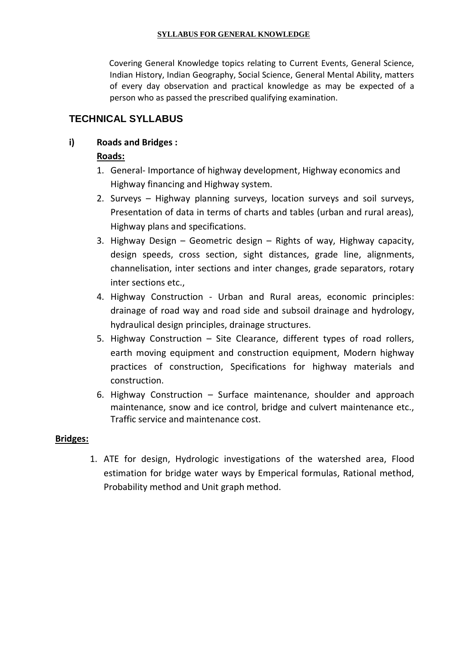#### **SYLLABUS FOR GENERAL KNOWLEDGE**

Covering General Knowledge topics relating to Current Events, General Science, Indian History, Indian Geography, Social Science, General Mental Ability, matters of every day observation and practical knowledge as may be expected of a person who as passed the prescribed qualifying examination.

# **TECHNICAL SYLLABUS**

### **i) Roads and Bridges :**

### **Roads:**

- 1. General- Importance of highway development, Highway economics and Highway financing and Highway system.
- 2. Surveys Highway planning surveys, location surveys and soil surveys, Presentation of data in terms of charts and tables (urban and rural areas), Highway plans and specifications.
- 3. Highway Design Geometric design Rights of way, Highway capacity, design speeds, cross section, sight distances, grade line, alignments, channelisation, inter sections and inter changes, grade separators, rotary inter sections etc.,
- 4. Highway Construction Urban and Rural areas, economic principles: drainage of road way and road side and subsoil drainage and hydrology, hydraulical design principles, drainage structures.
- 5. Highway Construction Site Clearance, different types of road rollers, earth moving equipment and construction equipment, Modern highway practices of construction, Specifications for highway materials and construction.
- 6. Highway Construction Surface maintenance, shoulder and approach maintenance, snow and ice control, bridge and culvert maintenance etc., Traffic service and maintenance cost.

#### **Bridges:**

1. ATE for design, Hydrologic investigations of the watershed area, Flood estimation for bridge water ways by Emperical formulas, Rational method, Probability method and Unit graph method.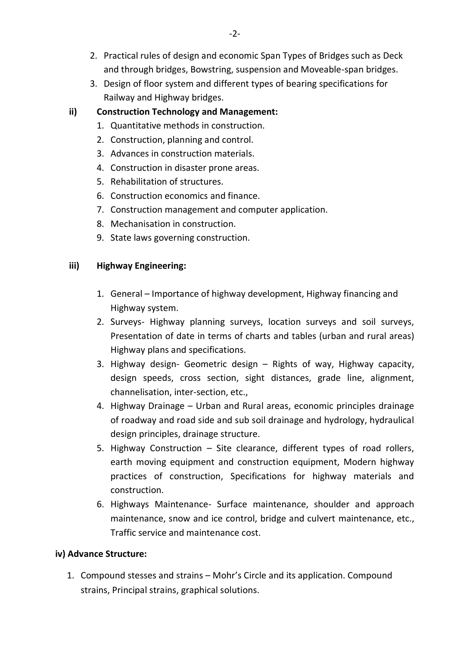- 2. Practical rules of design and economic Span Types of Bridges such as Deck and through bridges, Bowstring, suspension and Moveable-span bridges.
- 3. Design of floor system and different types of bearing specifications for Railway and Highway bridges.

# **ii) Construction Technology and Management:**

- 1. Quantitative methods in construction.
- 2. Construction, planning and control.
- 3. Advances in construction materials.
- 4. Construction in disaster prone areas.
- 5. Rehabilitation of structures.
- 6. Construction economics and finance.
- 7. Construction management and computer application.
- 8. Mechanisation in construction.
- 9. State laws governing construction.

## **iii) Highway Engineering:**

- 1. General Importance of highway development, Highway financing and Highway system.
- 2. Surveys- Highway planning surveys, location surveys and soil surveys, Presentation of date in terms of charts and tables (urban and rural areas) Highway plans and specifications.
- 3. Highway design- Geometric design Rights of way, Highway capacity, design speeds, cross section, sight distances, grade line, alignment, channelisation, inter-section, etc.,
- 4. Highway Drainage Urban and Rural areas, economic principles drainage of roadway and road side and sub soil drainage and hydrology, hydraulical design principles, drainage structure.
- 5. Highway Construction Site clearance, different types of road rollers, earth moving equipment and construction equipment, Modern highway practices of construction, Specifications for highway materials and construction.
- 6. Highways Maintenance- Surface maintenance, shoulder and approach maintenance, snow and ice control, bridge and culvert maintenance, etc., Traffic service and maintenance cost.

## **iv) Advance Structure:**

1. Compound stesses and strains – Mohr's Circle and its application. Compound strains, Principal strains, graphical solutions.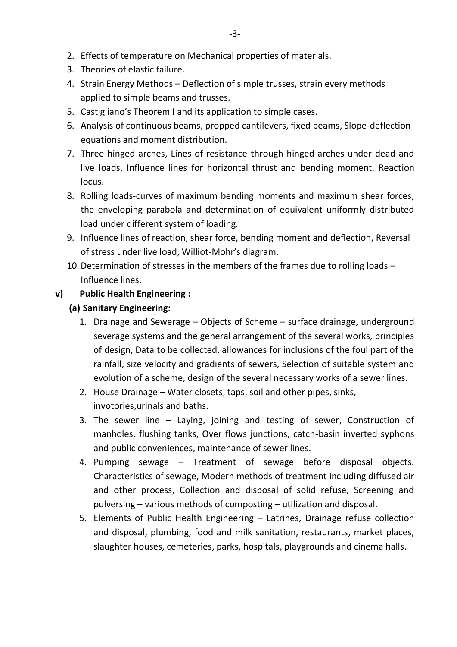- 2. Effects of temperature on Mechanical properties of materials.
- 3. Theories of elastic failure.
- 4. Strain Energy Methods Deflection of simple trusses, strain every methods applied to simple beams and trusses.
- 5. Castigliano's Theorem I and its application to simple cases.
- 6. Analysis of continuous beams, propped cantilevers, fixed beams, Slope-deflection equations and moment distribution.
- 7. Three hinged arches, Lines of resistance through hinged arches under dead and live loads, Influence lines for horizontal thrust and bending moment. Reaction locus.
- 8. Rolling loads-curves of maximum bending moments and maximum shear forces, the enveloping parabola and determination of equivalent uniformly distributed load under different system of loading.
- 9. Influence lines of reaction, shear force, bending moment and deflection, Reversal of stress under live load, Williot-Mohr's diagram.
- 10.Determination of stresses in the members of the frames due to rolling loads Influence lines.

## **v) Public Health Engineering :**

- **(a) Sanitary Engineering:**
	- 1. Drainage and Sewerage Objects of Scheme surface drainage, underground severage systems and the general arrangement of the several works, principles of design, Data to be collected, allowances for inclusions of the foul part of the rainfall, size velocity and gradients of sewers, Selection of suitable system and evolution of a scheme, design of the several necessary works of a sewer lines.
	- 2. House Drainage Water closets, taps, soil and other pipes, sinks, invotories,urinals and baths.
	- 3. The sewer line Laying, joining and testing of sewer, Construction of manholes, flushing tanks, Over flows junctions, catch-basin inverted syphons and public conveniences, maintenance of sewer lines.
	- 4. Pumping sewage Treatment of sewage before disposal objects. Characteristics of sewage, Modern methods of treatment including diffused air and other process, Collection and disposal of solid refuse, Screening and pulversing – various methods of composting – utilization and disposal.
	- 5. Elements of Public Health Engineering Latrines, Drainage refuse collection and disposal, plumbing, food and milk sanitation, restaurants, market places, slaughter houses, cemeteries, parks, hospitals, playgrounds and cinema halls.